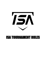

# ISA TOURNAMENT RULES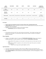| <b>AGE</b><br><b>GROUP</b>       | <b>MACHINE</b> | 46/60 | 50/70 | 54/80                                                   | 14U/15U       | 16U/17U/<br><b>SHOWCASE</b> |
|----------------------------------|----------------|-------|-------|---------------------------------------------------------|---------------|-----------------------------|
| <b>Base</b><br><b>Dimensions</b> | 60'            | 60    | 70'   | 80'                                                     | 90'           | 90'                         |
| <b>Mound</b><br><b>Distance</b>  | N/A            | 46'   | 50'   | 54'                                                     | 60'6"         | 60'6'                       |
| <b>Time Limit</b>                |                |       |       | 1 hour 15 min 1 hour 30 min 1 hour 30 min 1 hour 45 min | 1 hour 45 min | 2 hours<br>(per event)      |
| <b>Innings</b>                   | 6              | 6     | 6     | 7                                                       | 7             | 7                           |

# **Pre-Game**

- **Teams need to be prepared to play 15 minutes before their scheduled game time.**
- **TEAM CHECK IN:** Rosters and proof of insurance must be submitted before the first pitch of the team's first game. See on site director.
- **Line-Up:** must be presented to Umpire at home plate meeting.
	- o **Substitutions** need to be reported to Umpire.

#### **Coaches**

• ISA provides each team with 3 free coach entries per tournament. We strongly encourage only 3 coaches be in the dugout. We reserved the right to limit the number of coaches in the dugout if deemed necessary.

#### **Player Eligibility**

- A player is only eligible to play for 1 team per **TOURNAMENT INSTANCE**. Players can compete in multiple age groups on a given weekend, if also in separate **TOURNAMENT INSTANCE.**
	- $\circ$  A 15u athlete CAN compete on a 15u roster in a 15u event and on an 16u roster in an 16u event
	- $\circ$  A 15u athlete CANNOT compete on a 15u roster and 16u roster if the event is a 15u/16u combined event.
		- Players must be age and/or grade eligible to do this.

#### **Age Restrictions**

- Your age is determined by the May 1st date of that year **OR** your high school graduation year.
- If the team is found with an illegal player due to incorrect report of that players age or grade, that team will be **DISQUALIFIED** from the tournament and will forfeit all games. (6-0 for 6 inning games, 7-0 for 7 inning games)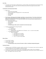# **Coin Flip**

• In pool play, the home team is determined by a coin flip. Higher seed will determine home/away during tournament play. The home team will be the official book and will record game start time when announced by umpire.

#### **Tie Breaker and Advancement Rules**

- Within Pool
	- o Record (win percentage)
	- o Head-to-head (does not apply with 3 or more teams tied)
	- o Runs allowed
	- o Runs scored
	- o Coin flip
- **Pool winners will always be the higher seed than a non-pool winner. From there all wild card teams will be determined based on the rules below:** (After pool winners, pool seed will have no bearing on who advances, i.e., a 2-0 team who finishes 2nd in their pool will be seeded behind a 1-1 team who wins their pool.)
	- o Record (win percentage)
	- o Runs allowed
	- o Runs scored
	- o Coin Flip
	- o **In bracket play, better seed is required to be the home team.**
- In-Game Tie Breaker/Extra Inning Procedure
	- o 1<sup>st</sup> Extra Inning
		- Normal rules
	- o 2<sup>nd</sup>/3<sup>rd</sup> Extra Innings
		- California Rule: Last batted out on 2nd base, 1 out, 1-1 count to every batter.
	- o 4<sup>th</sup> and beyond Extra Innings
		- **EXALD** Texas Tie Breaker:
			- Last batted out on 1st base
			- Next batted out on 2nd base
			- Next batted out on 3rd base
			- 1 out, 1-1 count to every batter

#### **Mercy Rules**

- 15 runs after 3 innings
- 10 Runs after 4 innings
- 8 Runs after 5 innings
	- o **In bracket play, mercy rules will remain in effect, including championship game**

#### **Courtesy Runner**

- Courtesy runner is OPTIONAL for pitcher catcher at any time. The courtesy runner must be a legal sub or the last batted out if you are batting a continuous lineup.
- Courtesy runner for the catcher with 2 outs is encouraged for pace of play, but not mandatory.
- If an incorrect courtesy runner is discovered the offending team must put the correct courtesy runner on base. The original runner may NOT return.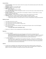#### **General Rules**

- **Intentional Walks:** Head Coach needs to inform the umpire of the intentional walk and the hitter will be awarded first base
- **Slashing**: Is legal for 14u and older ONLY
- **Headfirst sliding:** into any base is legal
- **Balks:** Balks will be live
	- o **3 rd to 1 st Pick-**off move is ILLEGAL
- **Force Play Slide Rule:** Runners are required to slide or veer out of the way to avoid contact when they are a part of a force play
- **Number of Players:** A game can start with 8 or more players. However, if a team drops to 7 or less, the game will be automatic forfeit
- **Warm up Pitches:** 7 Pitches Maximum between innings unless granted more by umpire.
- **Catchers:** Must wear a mask to warmup a pitcher pregame or between innings.
	- $\circ$  Please have a warmup catcher ready in the event the current catcher isn't ready.
	- $\circ$  Lengthy delay waiting on a warmup catcher can result in losing between inning warmup pitches.

# **Batting Lineups**

- \*Hit 9 hitters with a DH or no DH.
- \*Hit 10 with one EH and with or without a DH
- \*Hit 11 with one EH, one XH, and with or without a DH
- ONLY DH for the Pitcher
- Hit a continuous lineup with free substitution. See ejections and injuries rules to see what happens when losing a player.
	- o *\*You follow high school substitution rules.*
- Maximum of 3 Hitters at a time swinging bats (on-field) between innings.

# **Ejections**

- If a coach is ejected:
	- o They will be suspended for the rest of that game and the teams next played game **if determined by the tournament Director/Host**. If a coach is ejected from a game, he is ejected from the park and must exit the tournament grounds. If coach chooses to remain in park his team will be rewarded a forfeit loss determined by tournament Director/Host.
- If a player is ejected:
	- $\circ$  The player shall be suspended for the remainder of the game. If team has no substitute, the player will remain in batting order and his/her team will be forced to take an out. If it is deemed to be malicious contact, or if the player performed in act with intent to injure the penalty will be determined by the tournament Director/Host.

# **Injuries**

If a team has no substitutes and a player gets injured and cannot continue to play, his spot in the batting order will be skipped with no penalty. Once a player's spot in the batting order is skipped, the player is out for the remainder of the game and cannot come back into play.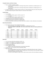# **Complete Games and Extra Innings**

- If rain or weather suspends a game.
	- $\circ$  4 (3 1/2 innings if home team is winning) innings will be considered a complete game in a 6inning game
	- $\circ$  5 (4 1/2 innings if home team is winning) innings will be considered a complete game in a 7inning game
- If a game is tied after 6/7 innings and time remains you will be allowed to play one extra inning. After the 7/8th inning if the game is tied it will end in a tie even if time remains.

# **Forfeit Ruling**

- 13u and Older
	- $\circ$  If a team forfeits a game, it will be scored 7-0
- 12u and Younger
	- $\circ$  If a team forfeits a game, it will be scored 6-0
- Tournament Director can amend forfeit scoring
- A Forfeiting team cannot participate in bracket play
- Forfeits cannot better the seed for the forfeiting team
- ISA has the authority to amend any of these rules due to weather or other unforeseen circumstance

#### **Pitch Rules/Guidelines**

- Use common sense, arm care should be the priority.
	- o Recommendation, not mandatory: No pitching in multiple games per day
	- o **USA PITCH SMART GUIDLINES: ISA will not police these, they are simply guidelines to reference.**

| Age       | <b>Daily Max</b> | 0 Days   | 1 Day     | 2 Days | 3 Days    | 4 Days |
|-----------|------------------|----------|-----------|--------|-----------|--------|
| $7 - 8$   | 50               | $1 - 20$ | $21 - 35$ | 36-50  |           |        |
| $9 - 10$  | 75               | $1 - 20$ | $21 - 35$ | 36-50  | $51 - 65$ | 66+    |
| $11 - 12$ | 85               | $1 - 20$ | $21 - 35$ | 36-50  | $51 - 65$ | 66+    |
| $13 - 14$ | 95               | $1 - 20$ | $21 - 35$ | 36-50  | $51 - 65$ | 66+    |
| $15 - 16$ | 95               | $1 - 30$ | $31 - 45$ | 46-60  | 61-75     | $76+$  |
| $17 - 18$ | 105              | $1 - 30$ | $31 - 45$ | 46-60  | 61-75     | $76+$  |

#### **Bat Rules**

- 7u to 12u, there will be bat restrictions to BPF 1.15
- 13u BPF 1.15 or BBCOR. Max Difference of Drop 8
- 14u BPF 1.15 or BBCOR Max Difference of Drop 5
- 14u (Showcase) BBCOR
- 15u-18u BBCOR or Wood
	- o Metal or wood will be determined in tournament description.
- You may NOT use a wood bat unless specifically stated.
- Illegal Bat Penalty:
	- $\circ$  It is the responsibility of each team's head coach to monitor bats that are in play. If a player uses an illegal bat. The umpire must be notified prior to the first pitch of the next batter or before all defensive players leave fair territory.
	- $\circ$  If the bat is found illegal, the batter will be ruled out and runners will not be allowed to advance.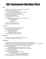# ISA Tournament Machine Pitch

# **Rules**

- Players can only be included on one team roster per tournament
- No limit to number of players on team roster
- 10 players on the field (4 outfielders)
	- o All players must play at least one inning in the field
- Catchers with gear are required on defense.
- Roster bat All players on the roster will bat in lineup.
- Unlimited defensive substitutions
- Machine Pitch ONLY (Blue Catapult)
	- o No Tees
- Machine Pitch Settings (Back of Machine 40' from Home Plate)
	- o Settings (Can be adjusted)
		- $\blacksquare$  Raise Pitch = 5
		- $\blacksquare$  Lower Pitch = 2
		- $\bullet$  Speed = 4
- Player can strike out on machine pitch.
- Player cannot walk on machine pitch.

# **Time Limits**

- No new inning will start after 1 hour and 10 minutes
- Each game will be 6 innings (if time allows)
- No extra innings in pool play games
	- o Games can result in a tie
- Max. 5 runs allowed per inning.
	- o Unlimited runs allowed in last inning.
- Championship game will not have time limit.

# **Home/Away**

- Home team for pool play is decided by a coin flip by umpire.
- Home team in bracket play is the higher seed.

# **INDOOR Rules**

- Pop Ups off the Ceiling Net will be dead and replayed with same count/situation.
- Only advance one base on an overthrow unless defense makes attempt to throw out runner advancing.
- No Cleats plastic or metal (Tennis shoes/Turf shoes ONLY in the building)
- No Gum/Seeds (Please shake out the bags from last year if possible.)
- No Tobacco/Alcohol/Drugs
	- o Grounds for Instant Removal and Banishment from Facility
- Abuse of umpires/ISA Staff/opposing coaches/fans will not be tolerated.
	- o Grounds for Removal
- Weight Room Area is OFF LIMITS
- Do Not Warm-Up Outside on Grass or Parking Lot
	- o Cages available inside ISA
		- See ISA staff member for designated warm up area
- Park on South side of ISA. (The bigger of the two parking lots)
- Day of event questions can be directed to an ISA staff member.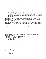# **Rules of Conduct**

It is required that all teams in the tournament comply with the following rules:

- Team managers must always have full control of their players and parents. This means "on" and "off" the field. Failure to do so can result in removal from event and/or banishment from future events.
- In case of disputed play or decision, team managers, only, may consult with the game officials in a respectful manner. The other coaches are expected to remain out of the discussion.
	- o This is a NFHS Rule. Here is the lingo and the rule from the rule book. *3-3-1 f6: A coach, player, substitute, attendant, or other bench personnel shall not: commit any unsportsmanlike act to include, but not limited to, any member of the coaching staff who is not the head coach (or designee) in 3-2-4 leaving the vicinity of the dugout or coaching box to dispute a judgment call by an umpire.*
- Managers are to report any unsportsmanlike or derogatory acts by players or spectators to the tournament director. The purpose here is to prevent any serious situation developing that would be harmful to the tournament.
- Managers, coaches, players, and teams are liable for suspension by not adhering to the tournament rules in effect. This could mean suspension for a game, games, tournament, or a longer duration depending on the act of violation.
- A player, coach, manager, or sponsor may be suspended for fighting, swearing, any contact with an official on or off the field, obscene gestures.
- Any intentional destruction of property or abuse of ISA property will be dealt with very sternly. Team managers and sponsors will not be warned other than through this notice. Punishments can be, but are not limited to, fines, ejections, and/or team disbarment from future ISA Tournaments/Events.

# **Protest Rules**

- Protests are only available for a violation or misapplication of rules, not for disagreement with an umpire's judgement call.
- You cannot protest an umpire's interpretation of a play.
- You cannot protest (Not limited to these items)
	- o Balls and Strikes
	- o Out and Safe Calls
	- o Balk Calls
	- o Obstruction Calls
	- o Judgement calls by an umpire are not grounds for protest.

# **Protest Process**

- How to initiate a protest.
	- $\circ$  1.01 Stop the Game. If a pitch is thrown the protest is null and void.
	- o Do not argue with the umpire, find a tournament director, and tell them you would like to protest.
	- o Present your \$100.00 non-refundable\* cash payment. (\*\$100 refund will be issued if protest is upheld.)
- What can you protest?
	- o Illegal Players
	- o Illegal Bats
	- o Substitutions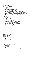# **Locations, Rules, and Notes**

ISA Indoor Facility 2350 Lawrence Parkway De Pere, WI 54115

- Turf
- No Cleats/Spikes (Metal or Plastic)
	- o Turf or athletic shoes ONLY
- No gum, seeds, tobacco, or alcohol is permitted
	- o Breaking this rule is grounds for removal from facility
- Vending Machines Available for limited Beverages and Snacks
- Parking on South side of facility (big parking lot)

Capitol Credit Union Park 2231 Holmgren Way Green Bay, WI 54304

- Turf
	- o NO batting cages
- Spikes are permitted except on the mound
	- o Turfs/Shoes/Plastics Allowed
- No gum, seeds, or tobacco is permitted
- Concessions open at 10am
- Clean up dugout after games
- Parking
	- o Epic Events Center (one Block South of stadium)
	- o Side Streets
	- o **Village Hall (Behind Left Field Wall)**
		- **ONLY AFTER 5PM**
	- o **DO NOT park at Nakashimas or MyPlace Hotel**
		- **Subject to be towed**

Mel Nicks Sports Complex 1300 Lost Dauphin Rd De Pere WI, 54115

- Turf infield/grass outfield
- No Metal Spikes
- No gum, seeds, or tobacco are permitted
- Concessions are dependent on St. Norbert College staffing
- Parking is on the street
- Clean up dugout after games

West De Pere High School Field 1155 Westwood Dr De Pere, WI 54115

- Natural surface
- Cages require shoes/turfs to hit in, no spikes
- No Tobacco
- No concessions
- Across street from Westwood Elementary School
- Clean up dugout after games